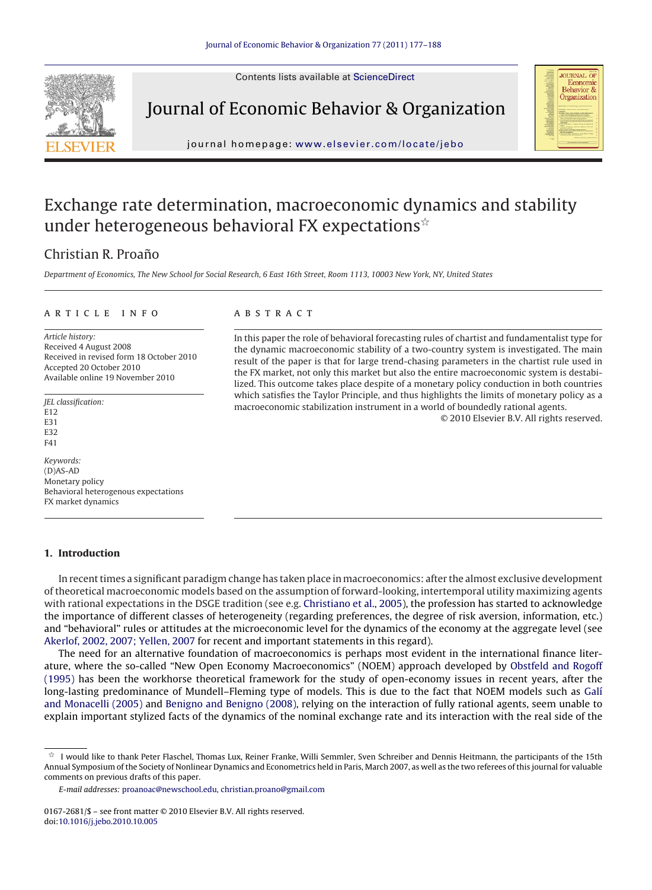Contents lists available at [ScienceDirect](http://www.sciencedirect.com/science/journal/01672681)



Journal of Economic Behavior & Organization



## Exchange rate determination, macroeconomic dynamics and stability under heterogeneous behavioral FX expectations $^{\scriptscriptstyle \star}$

### Christian R. Proaño

Department of Economics, The New School for Social Research, 6 East 16th Street, Room 1113, 10003 New York, NY, United States

#### article info

Article history: Received 4 August 2008 Received in revised form 18 October 2010 Accepted 20 October 2010 Available online 19 November 2010

JEL classification: E12 E31 E32

## F41 Keywords: (D)AS-AD

Monetary policy Behavioral heterogenous expectations FX market dynamics

#### **1. Introduction**

#### ABSTRACT

In this paper the role of behavioral forecasting rules of chartist and fundamentalist type for the dynamic macroeconomic stability of a two-country system is investigated. The main result of the paper is that for large trend-chasing parameters in the chartist rule used in the FX market, not only this market but also the entire macroeconomic system is destabilized. This outcome takes place despite of a monetary policy conduction in both countries which satisfies the Taylor Principle, and thus highlights the limits of monetary policy as a macroeconomic stabilization instrument in a world of boundedly rational agents.

© 2010 Elsevier B.V. All rights reserved.

**JOURNAL OF** Economic<br>Behavior & Organization

In recent times a significant paradigm change has taken place in macroeconomics: after the almost exclusive development of theoretical macroeconomic models based on the assumption of forward-looking, intertemporal utility maximizing agents with rational expectations in the DSGE tradition (see e.g. [Christiano et al., 2005\),](#page--1-0) the profession has started to acknowledge the importance of different classes of heterogeneity (regarding preferences, the degree of risk aversion, information, etc.) and "behavioral" rules or attitudes at the microeconomic level for the dynamics of the economy at the aggregate level (see [Akerlof, 2002, 2007; Yellen, 2007](#page--1-0) for recent and important statements in this regard).

The need for an alternative foundation of macroeconomics is perhaps most evident in the international finance literature, where the so-called "New Open Economy Macroeconomics" (NOEM) approach developed by [Obstfeld and Rogoff](#page--1-0) [\(1995\)](#page--1-0) has been the workhorse theoretical framework for the study of open-economy issues in recent years, after the long-lasting predominance of Mundell–Fleming type of models. This is due to the fact that NOEM models such as [Galí](#page--1-0) [and Monacelli \(2005\)](#page--1-0) and [Benigno and Benigno \(2008\), r](#page--1-0)elying on the interaction of fully rational agents, seem unable to explain important stylized facts of the dynamics of the nominal exchange rate and its interaction with the real side of the

E-mail addresses: [proanoac@newschool.edu](mailto:proanoac@newschool.edu), [christian.proano@gmail.com](mailto:christian.proano@gmail.com)

 $^\star$  I would like to thank Peter Flaschel, Thomas Lux, Reiner Franke, Willi Semmler, Sven Schreiber and Dennis Heitmann, the participants of the 15th Annual Symposium of the Society of Nonlinear Dynamics and Econometrics held in Paris, March 2007, as well as the two referees of this journal for valuable comments on previous drafts of this paper.

<sup>0167-2681/\$ –</sup> see front matter © 2010 Elsevier B.V. All rights reserved. doi:[10.1016/j.jebo.2010.10.005](dx.doi.org/10.1016/j.jebo.2010.10.005)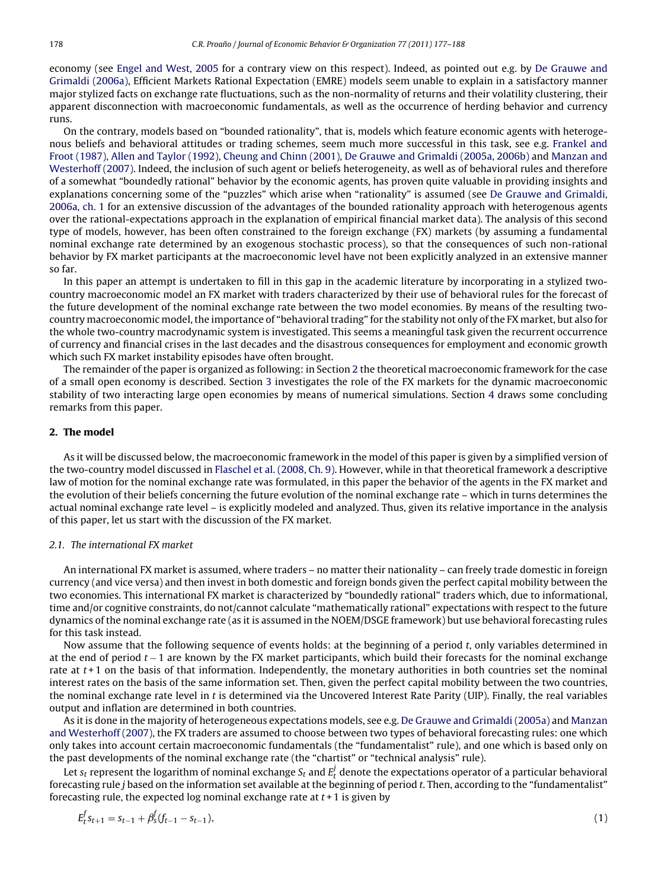economy (see [Engel and West, 2005](#page--1-0) for a contrary view on this respect). Indeed, as pointed out e.g. by [De Grauwe and](#page--1-0) [Grimaldi \(2006a\), E](#page--1-0)fficient Markets Rational Expectation (EMRE) models seem unable to explain in a satisfactory manner major stylized facts on exchange rate fluctuations, such as the non-normality of returns and their volatility clustering, their apparent disconnection with macroeconomic fundamentals, as well as the occurrence of herding behavior and currency runs.

On the contrary, models based on "bounded rationality", that is, models which feature economic agents with heterogenous beliefs and behavioral attitudes or trading schemes, seem much more successful in this task, see e.g. [Frankel and](#page--1-0) [Froot \(1987\), Allen and Taylor \(1992\), Cheung and Chinn \(2001\), De Grauwe and Grimaldi \(2005a, 2006b\)](#page--1-0) and [Manzan and](#page--1-0) [Westerhoff \(2007\). I](#page--1-0)ndeed, the inclusion of such agent or beliefs heterogeneity, as well as of behavioral rules and therefore of a somewhat "boundedly rational" behavior by the economic agents, has proven quite valuable in providing insights and explanations concerning some of the "puzzles" which arise when "rationality" is assumed (see [De Grauwe and Grimaldi,](#page--1-0) [2006a, ch. 1](#page--1-0) for an extensive discussion of the advantages of the bounded rationality approach with heterogenous agents over the rational-expectations approach in the explanation of empirical financial market data). The analysis of this second type of models, however, has been often constrained to the foreign exchange (FX) markets (by assuming a fundamental nominal exchange rate determined by an exogenous stochastic process), so that the consequences of such non-rational behavior by FX market participants at the macroeconomic level have not been explicitly analyzed in an extensive manner so far.

In this paper an attempt is undertaken to fill in this gap in the academic literature by incorporating in a stylized twocountry macroeconomic model an FX market with traders characterized by their use of behavioral rules for the forecast of the future development of the nominal exchange rate between the two model economies. By means of the resulting twocountry macroeconomic model, the importance of "behavioral trading" for the stability not only of the FX market, but also for the whole two-country macrodynamic system is investigated. This seems a meaningful task given the recurrent occurrence of currency and financial crises in the last decades and the disastrous consequences for employment and economic growth which such FX market instability episodes have often brought.

The remainder of the paper is organized as following: in Section 2 the theoretical macroeconomic framework for the case of a small open economy is described. Section [3](#page--1-0) investigates the role of the FX markets for the dynamic macroeconomic stability of two interacting large open economies by means of numerical simulations. Section [4](#page--1-0) draws some concluding remarks from this paper.

#### **2. The model**

As it will be discussed below, the macroeconomic framework in the model of this paper is given by a simplified version of the two-country model discussed in [Flaschel et al. \(2008, Ch. 9\). H](#page--1-0)owever, while in that theoretical framework a descriptive law of motion for the nominal exchange rate was formulated, in this paper the behavior of the agents in the FX market and the evolution of their beliefs concerning the future evolution of the nominal exchange rate – which in turns determines the actual nominal exchange rate level – is explicitly modeled and analyzed. Thus, given its relative importance in the analysis of this paper, let us start with the discussion of the FX market.

#### 2.1. The international FX market

An international FX market is assumed, where traders – no matter their nationality – can freely trade domestic in foreign currency (and vice versa) and then invest in both domestic and foreign bonds given the perfect capital mobility between the two economies. This international FX market is characterized by "boundedly rational" traders which, due to informational, time and/or cognitive constraints, do not/cannot calculate "mathematically rational" expectations with respect to the future dynamics of the nominal exchange rate (as it is assumed in the NOEM/DSGE framework) but use behavioral forecasting rules for this task instead.

Now assume that the following sequence of events holds: at the beginning of a period t, only variables determined in at the end of period t − 1 are known by the FX market participants, which build their forecasts for the nominal exchange rate at  $t+1$  on the basis of that information. Independently, the monetary authorities in both countries set the nominal interest rates on the basis of the same information set. Then, given the perfect capital mobility between the two countries, the nominal exchange rate level in  $t$  is determined via the Uncovered Interest Rate Parity (UIP). Finally, the real variables output and inflation are determined in both countries.

As it is done in the majority of heterogeneous expectations models, see e.g. [De Grauwe and Grimaldi \(2005a\)](#page--1-0) and [Manzan](#page--1-0) [and Westerhoff \(2007\), t](#page--1-0)he FX traders are assumed to choose between two types of behavioral forecasting rules: one which only takes into account certain macroeconomic fundamentals (the "fundamentalist" rule), and one which is based only on the past developments of the nominal exchange rate (the "chartist" or "technical analysis" rule).

Let s<sub>t</sub> represent the logarithm of nominal exchange S<sub>t</sub> and  $E'_t$  denote the expectations operator of a particular behavioral<br>ecasting rule i based on the information set available at the beginning of period t. Then, ac forecasting rule j based on the information set available at the beginning of period t. Then, according to the "fundamentalist" forecasting rule, the expected log nominal exchange rate at  $t + 1$  is given by

$$
E_t^f s_{t+1} = s_{t-1} + \beta_s^f (f_{t-1} - s_{t-1}),
$$
\n(1)